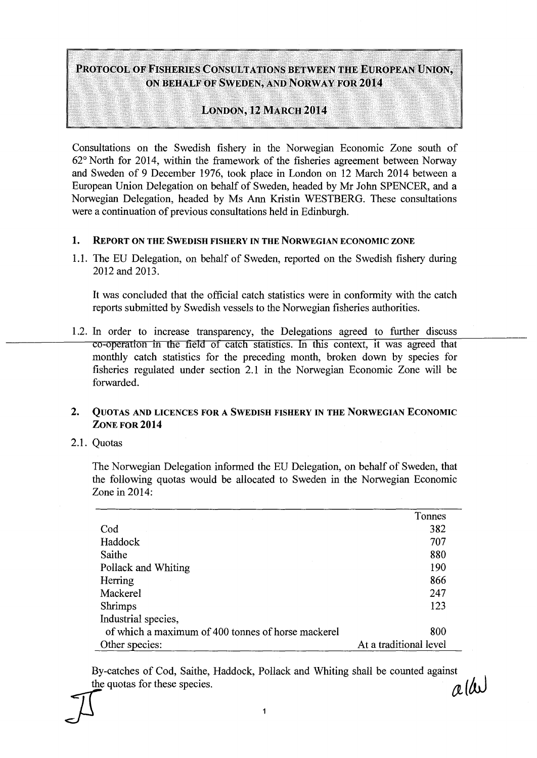# PROTOCOL OF FISHERIES CONSULTATIONS BETWEEN THE EUROPEAN UNION, ON BEHALF OF SWEDEN, AND NORWAY FOR **2014**

## LONDON, 12MARCH **2014**

Consultations on the Swedish fishery in the Norwegian Economic Zone south of 62° North for 2014, within the framework of the fisheries agreement between Norway and Sweden of 9 December 1976, took place in London on 12 March 2014 between a European Union Delegation on behalf of Sweden, headed by Mr John SPENCER, and a Norwegian Delegation, headed by Ms Ann Kristin WESTBERG. These consultations were a continuation of previous consultations held in Edinburgh.

#### **1.** REPORT ON THE SWEDISH FISHERY IN THE NORWEGIAN ECONOMIC ZONE

1.1. The EU Delegation, on behalf of Sweden, reported on the Swedish fishery during 2012 and 2013.

It was concluded that the official catch statistics were in conformity with the catch reports submitted by Swedish vessels to the Norwegian fisheries authorities.

1.2. In order to increase transparency, the Delegations agreed to further discuss co-operation in the field of catch statistics. In this context, it was agreed that monthly catch statistics for the preceding month, broken down by species for fisheries regulated under section 2.1 in the Norwegian Economic Zone will be forwarded.

### 2. QUOTAS AND LICENCES FOR A SWEDISH FISHERY IN THE NORWEGIAN ECONOMIC ZONE FOR **2014**

2.1. Quotas

The Norwegian Delegation informed the EU Delegation, on behalf of Sweden, that the following quotas would be allocated to Sweden in the Norwegian Economic Zone in 2014:

|                                                    | Tonnes                 |
|----------------------------------------------------|------------------------|
| Cod                                                | 382                    |
| Haddock                                            | 707                    |
| Saithe                                             | 880                    |
| Pollack and Whiting                                | 190                    |
| Herring                                            | 866                    |
| Mackerel                                           | 247                    |
| Shrimps                                            | 123                    |
| Industrial species,                                |                        |
| of which a maximum of 400 tonnes of horse mackerel | 800                    |
| Other species:                                     | At a traditional level |

By-catches of Cod, Saithe, Haddock, Pollack and Whiting shall be counted against the quotas for these species.  $\alpha$  ( $\omega$ )